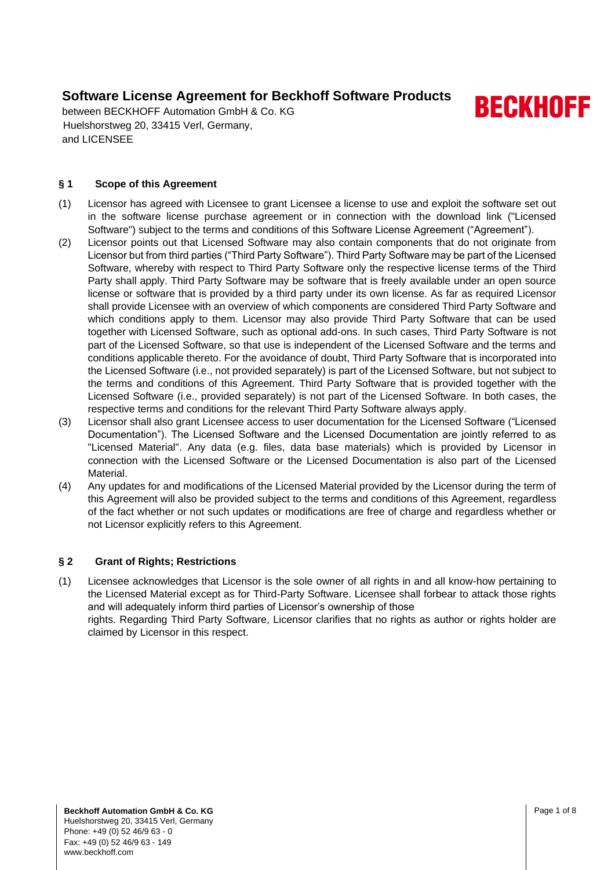between BECKHOFF Automation GmbH & Co. KG Huelshorstweg 20, 33415 Verl, Germany, and LICENSEE

### **§ 1 Scope of this Agreement**

- (1) Licensor has agreed with Licensee to grant Licensee a license to use and exploit the software set out in the software license purchase agreement or in connection with the download link ("Licensed Software") subject to the terms and conditions of this Software License Agreement ("Agreement").
- (2) Licensor points out that Licensed Software may also contain components that do not originate from Licensor but from third parties ("Third Party Software"). Third Party Software may be part of the Licensed Software, whereby with respect to Third Party Software only the respective license terms of the Third Party shall apply. Third Party Software may be software that is freely available under an open source license or software that is provided by a third party under its own license. As far as required Licensor shall provide Licensee with an overview of which components are considered Third Party Software and which conditions apply to them. Licensor may also provide Third Party Software that can be used together with Licensed Software, such as optional add-ons. In such cases, Third Party Software is not part of the Licensed Software, so that use is independent of the Licensed Software and the terms and conditions applicable thereto. For the avoidance of doubt, Third Party Software that is incorporated into the Licensed Software (i.e., not provided separately) is part of the Licensed Software, but not subject to the terms and conditions of this Agreement. Third Party Software that is provided together with the Licensed Software (i.e., provided separately) is not part of the Licensed Software. In both cases, the respective terms and conditions for the relevant Third Party Software always apply.
- (3) Licensor shall also grant Licensee access to user documentation for the Licensed Software ("Licensed Documentation"). The Licensed Software and the Licensed Documentation are jointly referred to as "Licensed Material". Any data (e.g. files, data base materials) which is provided by Licensor in connection with the Licensed Software or the Licensed Documentation is also part of the Licensed Material.
- (4) Any updates for and modifications of the Licensed Material provided by the Licensor during the term of this Agreement will also be provided subject to the terms and conditions of this Agreement, regardless of the fact whether or not such updates or modifications are free of charge and regardless whether or not Licensor explicitly refers to this Agreement.

### **§ 2 Grant of Rights; Restrictions**

(1) Licensee acknowledges that Licensor is the sole owner of all rights in and all know-how pertaining to the Licensed Material except as for Third-Party Software. Licensee shall forbear to attack those rights and will adequately inform third parties of Licensor's ownership of those rights. Regarding Third Party Software, Licensor clarifies that no rights as author or rights holder are claimed by Licensor in this respect.

**BECKHOFF**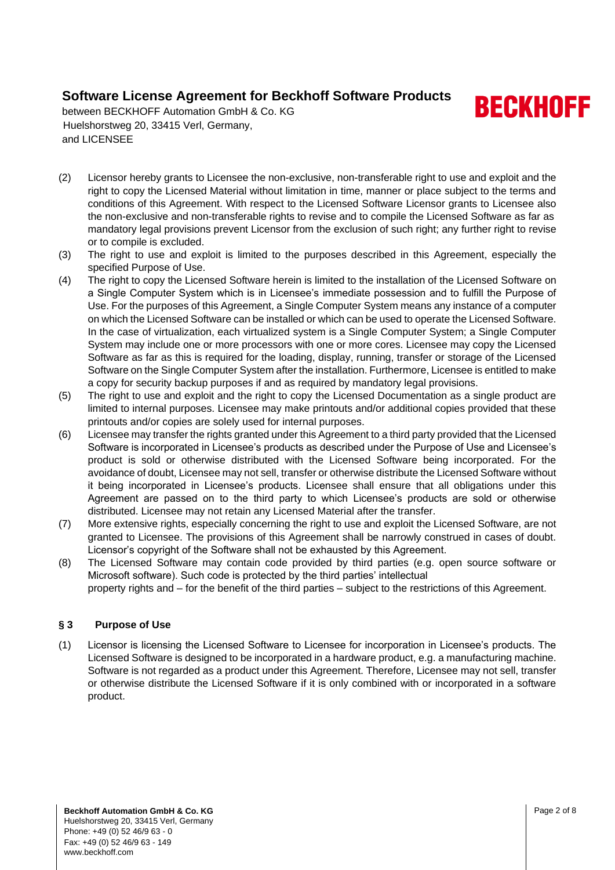**BECKHOFF** 

between BECKHOFF Automation GmbH & Co. KG Huelshorstweg 20, 33415 Verl, Germany, and LICENSEE

- (2) Licensor hereby grants to Licensee the non-exclusive, non-transferable right to use and exploit and the right to copy the Licensed Material without limitation in time, manner or place subject to the terms and conditions of this Agreement. With respect to the Licensed Software Licensor grants to Licensee also the non-exclusive and non-transferable rights to revise and to compile the Licensed Software as far as mandatory legal provisions prevent Licensor from the exclusion of such right; any further right to revise or to compile is excluded.
- (3) The right to use and exploit is limited to the purposes described in this Agreement, especially the specified Purpose of Use.
- <span id="page-1-0"></span>(4) The right to copy the Licensed Software herein is limited to the installation of the Licensed Software on a Single Computer System which is in Licensee's immediate possession and to fulfill the Purpose of Use. For the purposes of this Agreement, a Single Computer System means any instance of a computer on which the Licensed Software can be installed or which can be used to operate the Licensed Software. In the case of virtualization, each virtualized system is a Single Computer System; a Single Computer System may include one or more processors with one or more cores. Licensee may copy the Licensed Software as far as this is required for the loading, display, running, transfer or storage of the Licensed Software on the Single Computer System after the installation. Furthermore, Licensee is entitled to make a copy for security backup purposes if and as required by mandatory legal provisions.
- (5) The right to use and exploit and the right to copy the Licensed Documentation as a single product are limited to internal purposes. Licensee may make printouts and/or additional copies provided that these printouts and/or copies are solely used for internal purposes.
- (6) Licensee may transfer the rights granted under this Agreement to a third party provided that the Licensed Software is incorporated in Licensee's products as described under the Purpose of Use and Licensee's product is sold or otherwise distributed with the Licensed Software being incorporated. For the avoidance of doubt, Licensee may not sell, transfer or otherwise distribute the Licensed Software without it being incorporated in Licensee's products. Licensee shall ensure that all obligations under this Agreement are passed on to the third party to which Licensee's products are sold or otherwise distributed. Licensee may not retain any Licensed Material after the transfer.
- (7) More extensive rights, especially concerning the right to use and exploit the Licensed Software, are not granted to Licensee. The provisions of this Agreement shall be narrowly construed in cases of doubt. Licensor's copyright of the Software shall not be exhausted by this Agreement.
- (8) The Licensed Software may contain code provided by third parties (e.g. open source software or Microsoft software). Such code is protected by the third parties' intellectual
	- property rights and for the benefit of the third parties subject to the restrictions of this Agreement.

### **§ 3 Purpose of Use**

(1) Licensor is licensing the Licensed Software to Licensee for incorporation in Licensee's products. The Licensed Software is designed to be incorporated in a hardware product, e.g. a manufacturing machine. Software is not regarded as a product under this Agreement. Therefore, Licensee may not sell, transfer or otherwise distribute the Licensed Software if it is only combined with or incorporated in a software product.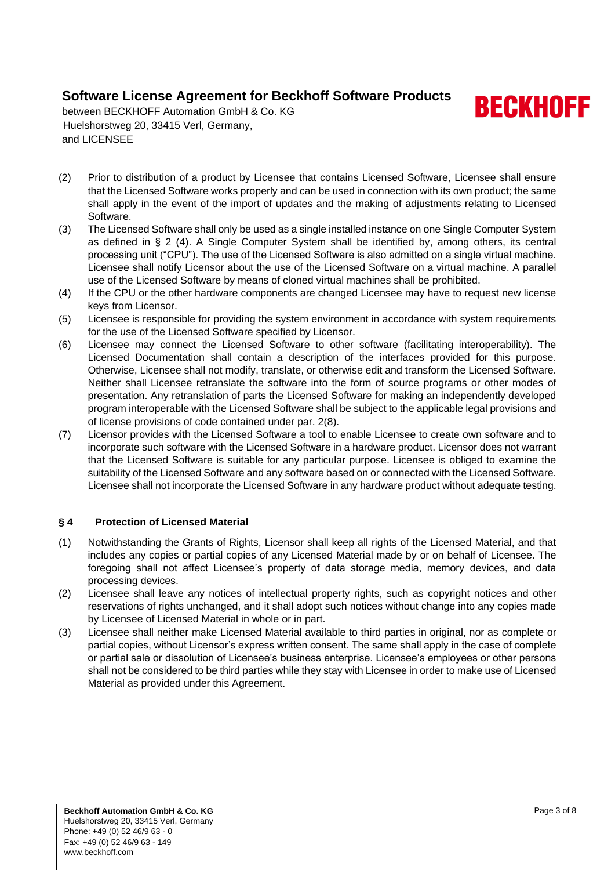

between BECKHOFF Automation GmbH & Co. KG Huelshorstweg 20, 33415 Verl, Germany, and LICENSEE

- (2) Prior to distribution of a product by Licensee that contains Licensed Software, Licensee shall ensure that the Licensed Software works properly and can be used in connection with its own product; the same shall apply in the event of the import of updates and the making of adjustments relating to Licensed Software.
- (3) The Licensed Software shall only be used as a single installed instance on one Single Computer System as defined in § 2 [\(4\).](#page-1-0) A Single Computer System shall be identified by, among others, its central processing unit ("CPU"). The use of the Licensed Software is also admitted on a single virtual machine. Licensee shall notify Licensor about the use of the Licensed Software on a virtual machine. A parallel use of the Licensed Software by means of cloned virtual machines shall be prohibited.
- (4) If the CPU or the other hardware components are changed Licensee may have to request new license keys from Licensor.
- (5) Licensee is responsible for providing the system environment in accordance with system requirements for the use of the Licensed Software specified by Licensor.
- (6) Licensee may connect the Licensed Software to other software (facilitating interoperability). The Licensed Documentation shall contain a description of the interfaces provided for this purpose. Otherwise, Licensee shall not modify, translate, or otherwise edit and transform the Licensed Software. Neither shall Licensee retranslate the software into the form of source programs or other modes of presentation. Any retranslation of parts the Licensed Software for making an independently developed program interoperable with the Licensed Software shall be subject to the applicable legal provisions and of license provisions of code contained under par. 2(8).
- (7) Licensor provides with the Licensed Software a tool to enable Licensee to create own software and to incorporate such software with the Licensed Software in a hardware product. Licensor does not warrant that the Licensed Software is suitable for any particular purpose. Licensee is obliged to examine the suitability of the Licensed Software and any software based on or connected with the Licensed Software. Licensee shall not incorporate the Licensed Software in any hardware product without adequate testing.

#### **§ 4 Protection of Licensed Material**

- (1) Notwithstanding the Grants of Rights, Licensor shall keep all rights of the Licensed Material, and that includes any copies or partial copies of any Licensed Material made by or on behalf of Licensee. The foregoing shall not affect Licensee's property of data storage media, memory devices, and data processing devices.
- (2) Licensee shall leave any notices of intellectual property rights, such as copyright notices and other reservations of rights unchanged, and it shall adopt such notices without change into any copies made by Licensee of Licensed Material in whole or in part.
- (3) Licensee shall neither make Licensed Material available to third parties in original, nor as complete or partial copies, without Licensor's express written consent. The same shall apply in the case of complete or partial sale or dissolution of Licensee's business enterprise. Licensee's employees or other persons shall not be considered to be third parties while they stay with Licensee in order to make use of Licensed Material as provided under this Agreement.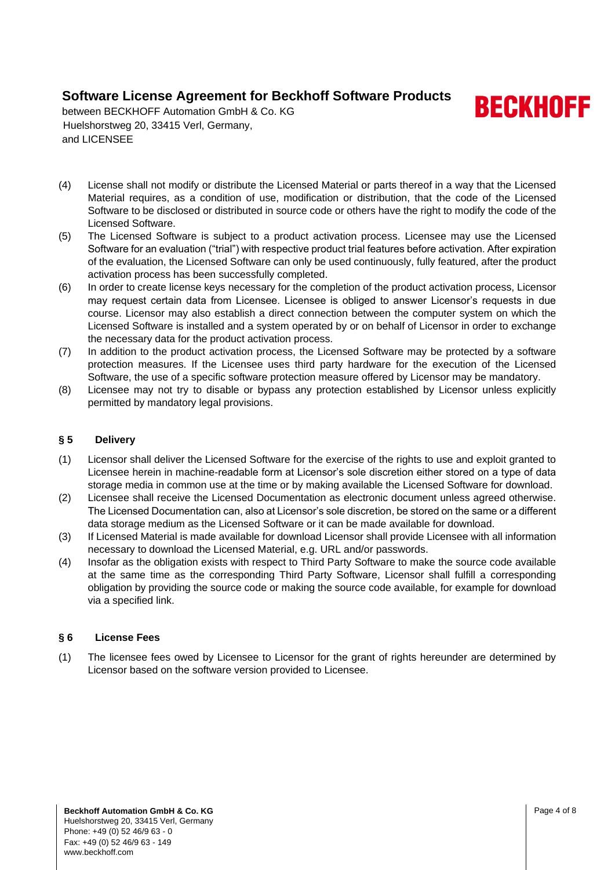**BECKHOFF** 

between BECKHOFF Automation GmbH & Co. KG Huelshorstweg 20, 33415 Verl, Germany, and LICENSEE

- (4) License shall not modify or distribute the Licensed Material or parts thereof in a way that the Licensed Material requires, as a condition of use, modification or distribution, that the code of the Licensed Software to be disclosed or distributed in source code or others have the right to modify the code of the Licensed Software.
- (5) The Licensed Software is subject to a product activation process. Licensee may use the Licensed Software for an evaluation ("trial") with respective product trial features before activation. After expiration of the evaluation, the Licensed Software can only be used continuously, fully featured, after the product activation process has been successfully completed.
- (6) In order to create license keys necessary for the completion of the product activation process, Licensor may request certain data from Licensee. Licensee is obliged to answer Licensor's requests in due course. Licensor may also establish a direct connection between the computer system on which the Licensed Software is installed and a system operated by or on behalf of Licensor in order to exchange the necessary data for the product activation process.
- (7) In addition to the product activation process, the Licensed Software may be protected by a software protection measures. If the Licensee uses third party hardware for the execution of the Licensed Software, the use of a specific software protection measure offered by Licensor may be mandatory.
- (8) Licensee may not try to disable or bypass any protection established by Licensor unless explicitly permitted by mandatory legal provisions.

### **§ 5 Delivery**

- (1) Licensor shall deliver the Licensed Software for the exercise of the rights to use and exploit granted to Licensee herein in machine-readable form at Licensor's sole discretion either stored on a type of data storage media in common use at the time or by making available the Licensed Software for download.
- (2) Licensee shall receive the Licensed Documentation as electronic document unless agreed otherwise. The Licensed Documentation can, also at Licensor's sole discretion, be stored on the same or a different data storage medium as the Licensed Software or it can be made available for download.
- (3) If Licensed Material is made available for download Licensor shall provide Licensee with all information necessary to download the Licensed Material, e.g. URL and/or passwords.
- (4) Insofar as the obligation exists with respect to Third Party Software to make the source code available at the same time as the corresponding Third Party Software, Licensor shall fulfill a corresponding obligation by providing the source code or making the source code available, for example for download via a specified link.

### **§ 6 License Fees**

(1) The licensee fees owed by Licensee to Licensor for the grant of rights hereunder are determined by Licensor based on the software version provided to Licensee.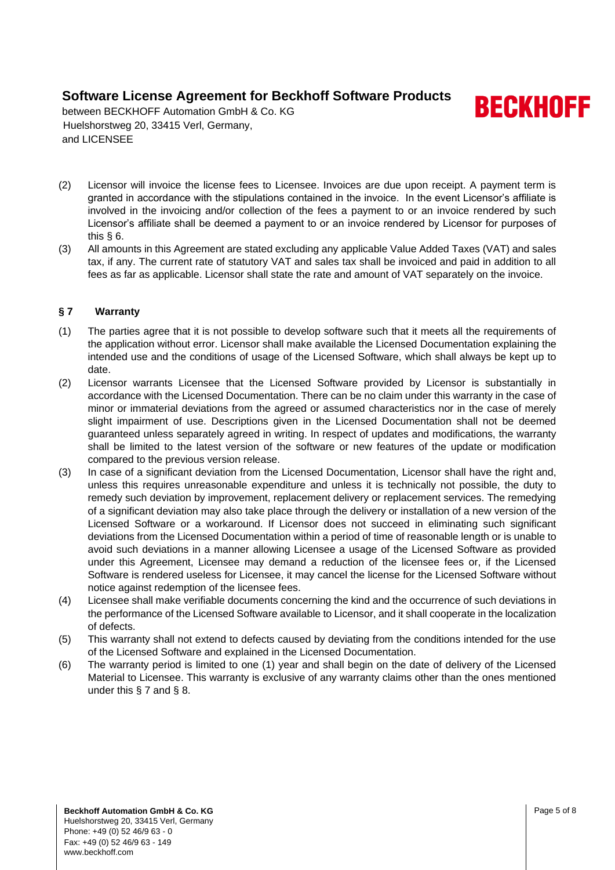**BECKHOFF** 

between BECKHOFF Automation GmbH & Co. KG Huelshorstweg 20, 33415 Verl, Germany, and LICENSEE

- (2) Licensor will invoice the license fees to Licensee. Invoices are due upon receipt. A payment term is granted in accordance with the stipulations contained in the invoice. In the event Licensor's affiliate is involved in the invoicing and/or collection of the fees a payment to or an invoice rendered by such Licensor's affiliate shall be deemed a payment to or an invoice rendered by Licensor for purposes of this § 6.
- (3) All amounts in this Agreement are stated excluding any applicable Value Added Taxes (VAT) and sales tax, if any. The current rate of statutory VAT and sales tax shall be invoiced and paid in addition to all fees as far as applicable. Licensor shall state the rate and amount of VAT separately on the invoice.

### **§ 7 Warranty**

- (1) The parties agree that it is not possible to develop software such that it meets all the requirements of the application without error. Licensor shall make available the Licensed Documentation explaining the intended use and the conditions of usage of the Licensed Software, which shall always be kept up to date.
- (2) Licensor warrants Licensee that the Licensed Software provided by Licensor is substantially in accordance with the Licensed Documentation. There can be no claim under this warranty in the case of minor or immaterial deviations from the agreed or assumed characteristics nor in the case of merely slight impairment of use. Descriptions given in the Licensed Documentation shall not be deemed guaranteed unless separately agreed in writing. In respect of updates and modifications, the warranty shall be limited to the latest version of the software or new features of the update or modification compared to the previous version release.
- (3) In case of a significant deviation from the Licensed Documentation, Licensor shall have the right and, unless this requires unreasonable expenditure and unless it is technically not possible, the duty to remedy such deviation by improvement, replacement delivery or replacement services. The remedying of a significant deviation may also take place through the delivery or installation of a new version of the Licensed Software or a workaround. If Licensor does not succeed in eliminating such significant deviations from the Licensed Documentation within a period of time of reasonable length or is unable to avoid such deviations in a manner allowing Licensee a usage of the Licensed Software as provided under this Agreement, Licensee may demand a reduction of the licensee fees or, if the Licensed Software is rendered useless for Licensee, it may cancel the license for the Licensed Software without notice against redemption of the licensee fees.
- (4) Licensee shall make verifiable documents concerning the kind and the occurrence of such deviations in the performance of the Licensed Software available to Licensor, and it shall cooperate in the localization of defects.
- (5) This warranty shall not extend to defects caused by deviating from the conditions intended for the use of the Licensed Software and explained in the Licensed Documentation.
- (6) The warranty period is limited to one (1) year and shall begin on the date of delivery of the Licensed Material to Licensee. This warranty is exclusive of any warranty claims other than the ones mentioned under this  $\S$  7 and  $\S$  8.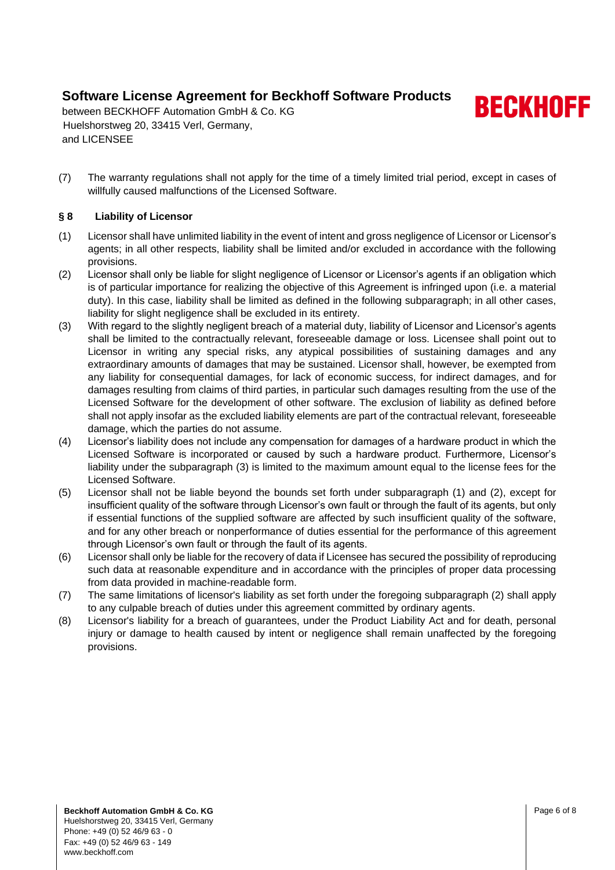**BECKHOFF** 

between BECKHOFF Automation GmbH & Co. KG Huelshorstweg 20, 33415 Verl, Germany, and LICENSEE

(7) The warranty regulations shall not apply for the time of a timely limited trial period, except in cases of willfully caused malfunctions of the Licensed Software.

### **§ 8 Liability of Licensor**

- (1) Licensor shall have unlimited liability in the event of intent and gross negligence of Licensor or Licensor's agents; in all other respects, liability shall be limited and/or excluded in accordance with the following provisions.
- (2) Licensor shall only be liable for slight negligence of Licensor or Licensor's agents if an obligation which is of particular importance for realizing the objective of this Agreement is infringed upon (i.e. a material duty). In this case, liability shall be limited as defined in the following subparagraph; in all other cases, liability for slight negligence shall be excluded in its entirety.
- (3) With regard to the slightly negligent breach of a material duty, liability of Licensor and Licensor's agents shall be limited to the contractually relevant, foreseeable damage or loss. Licensee shall point out to Licensor in writing any special risks, any atypical possibilities of sustaining damages and any extraordinary amounts of damages that may be sustained. Licensor shall, however, be exempted from any liability for consequential damages, for lack of economic success, for indirect damages, and for damages resulting from claims of third parties, in particular such damages resulting from the use of the Licensed Software for the development of other software. The exclusion of liability as defined before shall not apply insofar as the excluded liability elements are part of the contractual relevant, foreseeable damage, which the parties do not assume.
- (4) Licensor's liability does not include any compensation for damages of a hardware product in which the Licensed Software is incorporated or caused by such a hardware product. Furthermore, Licensor's liability under the subparagraph (3) is limited to the maximum amount equal to the license fees for the Licensed Software.
- (5) Licensor shall not be liable beyond the bounds set forth under subparagraph (1) and (2), except for insufficient quality of the software through Licensor's own fault or through the fault of its agents, but only if essential functions of the supplied software are affected by such insufficient quality of the software, and for any other breach or nonperformance of duties essential for the performance of this agreement through Licensor's own fault or through the fault of its agents.
- (6) Licensor shall only be liable for the recovery of data if Licensee has secured the possibility of reproducing such data at reasonable expenditure and in accordance with the principles of proper data processing from data provided in machine-readable form.
- (7) The same limitations of licensor's liability as set forth under the foregoing subparagraph (2) shall apply to any culpable breach of duties under this agreement committed by ordinary agents.
- (8) Licensor's liability for a breach of guarantees, under the Product Liability Act and for death, personal injury or damage to health caused by intent or negligence shall remain unaffected by the foregoing provisions.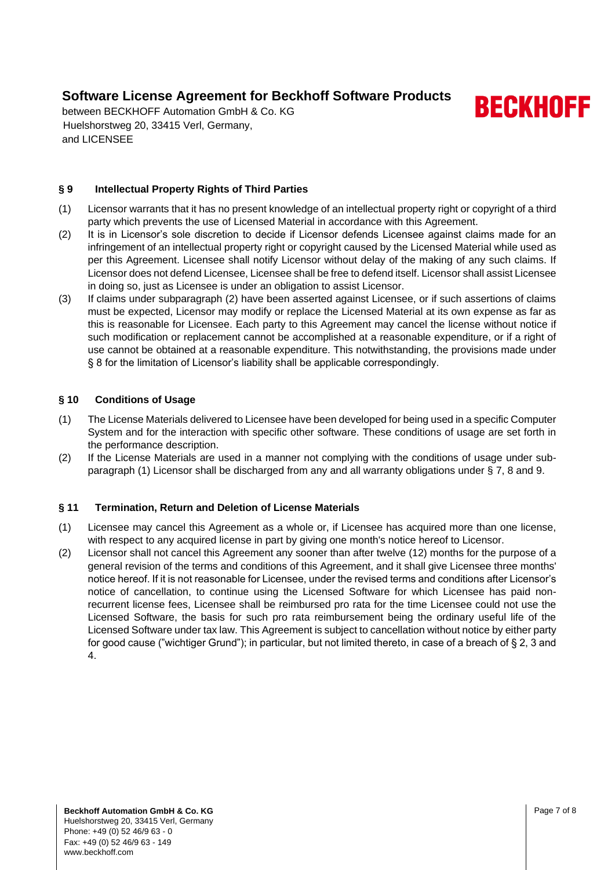between BECKHOFF Automation GmbH & Co. KG Huelshorstweg 20, 33415 Verl, Germany, and LICENSEE

### **§ 9 Intellectual Property Rights of Third Parties**

- (1) Licensor warrants that it has no present knowledge of an intellectual property right or copyright of a third party which prevents the use of Licensed Material in accordance with this Agreement.
- (2) It is in Licensor's sole discretion to decide if Licensor defends Licensee against claims made for an infringement of an intellectual property right or copyright caused by the Licensed Material while used as per this Agreement. Licensee shall notify Licensor without delay of the making of any such claims. If Licensor does not defend Licensee, Licensee shall be free to defend itself. Licensor shall assist Licensee in doing so, just as Licensee is under an obligation to assist Licensor.
- (3) If claims under subparagraph (2) have been asserted against Licensee, or if such assertions of claims must be expected, Licensor may modify or replace the Licensed Material at its own expense as far as this is reasonable for Licensee. Each party to this Agreement may cancel the license without notice if such modification or replacement cannot be accomplished at a reasonable expenditure, or if a right of use cannot be obtained at a reasonable expenditure. This notwithstanding, the provisions made under § 8 for the limitation of Licensor's liability shall be applicable correspondingly.

#### **§ 10 Conditions of Usage**

- (1) The License Materials delivered to Licensee have been developed for being used in a specific Computer System and for the interaction with specific other software. These conditions of usage are set forth in the performance description.
- (2) If the License Materials are used in a manner not complying with the conditions of usage under subparagraph (1) Licensor shall be discharged from any and all warranty obligations under § 7, 8 and 9.

#### **§ 11 Termination, Return and Deletion of License Materials**

- (1) Licensee may cancel this Agreement as a whole or, if Licensee has acquired more than one license, with respect to any acquired license in part by giving one month's notice hereof to Licensor.
- (2) Licensor shall not cancel this Agreement any sooner than after twelve (12) months for the purpose of a general revision of the terms and conditions of this Agreement, and it shall give Licensee three months' notice hereof. If it is not reasonable for Licensee, under the revised terms and conditions after Licensor's notice of cancellation, to continue using the Licensed Software for which Licensee has paid nonrecurrent license fees, Licensee shall be reimbursed pro rata for the time Licensee could not use the Licensed Software, the basis for such pro rata reimbursement being the ordinary useful life of the Licensed Software under tax law. This Agreement is subject to cancellation without notice by either party for good cause ("wichtiger Grund"); in particular, but not limited thereto, in case of a breach of § 2, 3 and 4.

**BECKHOFF**